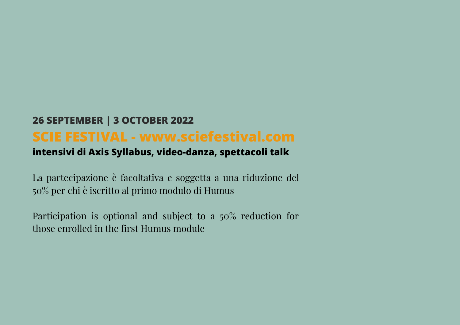## **26 SEPTEMBER | 3 OCTOBER 2022 SCIE FESTIVAL - www.sciefestival.com**

## **intensivi di Axis Syllabus, video-danza, spettacoli talk**

La partecipazione è facoltativa e soggetta a una riduzione del 50% per chi è iscritto al primo modulo di Humus

Participation is optional and subject to a 50% reduction for those enrolled in the first Humus module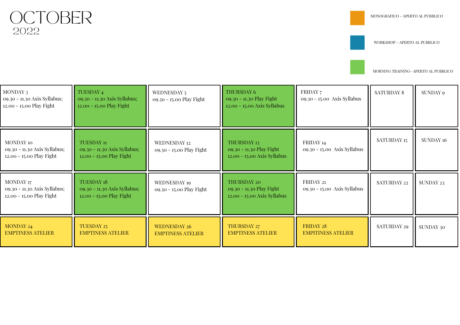2022 OCTOBER

WORKSHOP - APERTO AL PUBBLICO

| MONDAY 3<br>09.30 - 11.30 Axis Syllabus;<br>12.00 - 15.00 Play Fight         | TUESDAY <sub>4</sub><br>09.30 - 11.30 Axis Syllabus;<br>12.00 - 15.00 Play Fight | WEDNESDAY 5<br>09.30 - 15.00 Play Fight  | THURSDAY 6<br>09.30 - 11.30 Play Fight<br>12.00 - 15.00 Axis Syllabus  | FRIDAY 7<br>09.30 - 15.00 Axis Syllabus       | <b>SATURDAY 8</b> | SUNDAY 9         |
|------------------------------------------------------------------------------|----------------------------------------------------------------------------------|------------------------------------------|------------------------------------------------------------------------|-----------------------------------------------|-------------------|------------------|
| <b>MONDAY 10</b><br>09.30 - 11.30 Axis Syllabus;<br>12.00 - 15.00 Play Fight | TUESDAY 11<br>09.30 - 11.30 Axis Syllabus;<br>12.00 - 15.00 Play Fight           | WEDNESDAY 12<br>09.30 - 15.00 Play Fight | THURSDAY 13<br>09.30 - 11.30 Play Fight<br>12.00 - 15.00 Axis Syllabus | FRIDAY 14<br>09.30 - 15.00 Axis Syllabus      | SATURDAY 15       | <b>SUNDAY 16</b> |
| MONDAY 17<br>09.30 - 11.30 Axis Syllabus;<br>12.00 - 15.00 Play Fight        | <b>TUESDAY 18</b><br>09.30 - 11.30 Axis Syllabus;<br>12.00 - 15.00 Play Fight    | WEDNESDAY 19<br>09.30 - 15.00 Play Fight | THURSDAY 20<br>09.30 - 11.30 Play Fight<br>12.00 - 15.00 Axis Syllabus | FRIDAY 21<br>09.30 - 15.00 Axis Syllabus      | SATURDAY 22       | SUNDAY 23        |
| MONDAY 24<br><b>EMPTINESS ATELIER</b>                                        | <b>TUESDAY 25</b><br><b>EMPTINESS ATELIER</b>                                    | WEDNESDAY 26<br><b>EMPTINESS ATELIER</b> | THURSDAY 27<br><b>EMPTINESS ATELIER</b>                                | <b>FRIDAY 28</b><br><b>EMPITINESS ATELIER</b> | SATURDAY 29       | SUNDAY 30        |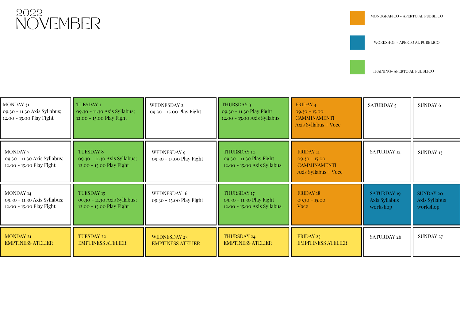

WORKSHOP - APERTO AL PUBBLICO

TRAINING- APERTO AL PUBBLICO

Ξ

| MONDAY 31<br>09.30 - 11.30 Axis Syllabus;<br>12.00 - 15.00 Play Fight | TUESDAY <sub>1</sub><br>09.30 - 11.30 Axis Syllabus;<br>12.00 - 15.00 Play Fight | WEDNESDAY 2<br>09.30 - 15.00 Play Fight         | THURSDAY 3<br>09.30 - 11.30 Play Fight<br>12.00 - 15.00 Axis Syllabus         | FRIDAY 4<br>$09.30 - 15.00$<br><b>CAMMINAMENTI</b><br>Axis Syllabus + Voce             | SATURDAY 5                                      | <b>SUNDAY 6</b>                               |
|-----------------------------------------------------------------------|----------------------------------------------------------------------------------|-------------------------------------------------|-------------------------------------------------------------------------------|----------------------------------------------------------------------------------------|-------------------------------------------------|-----------------------------------------------|
| MONDAY 7<br>09.30 - 11.30 Axis Syllabus;<br>12.00 - 15.00 Play Fight  | <b>TUESDAY 8</b><br>09.30 - 11.30 Axis Syllabus;<br>12.00 - 15.00 Play Fight     | WEDNESDAY 9<br>09.30 - 15.00 Play Fight         | <b>THURSDAY 10</b><br>09.30 - 11.30 Play Fight<br>12.00 - 15.00 Axis Syllabus | FRIDAY <sub>11</sub><br>$09.30 - 15.00$<br><b>CAMMINAMENTI</b><br>Axis Syllabus + Voce | SATURDAY 12                                     | SUNDAY 13                                     |
| MONDAY 14<br>09.30 - 11.30 Axis Syllabus;<br>12.00 - 15.00 Play Fight | TUESDAY 15<br>09.30 - 11.30 Axis Syllabus;<br>12.00 - 15.00 Play Fight           | WEDNESDAY 16<br>09.30 - 15.00 Play Fight        | THURSDAY 17<br>09.30 - 11.30 Play Fight<br>12.00 - 15.00 Axis Syllabus        | FRIDAY 18<br>$09.30 - 15.00$<br><b>Voce</b>                                            | <b>SATURDAY 19</b><br>Axis Syllabus<br>workshop | <b>SUNDAY 20</b><br>Axis Syllabus<br>workshop |
| <b>MONDAY 21</b><br><b>EMPTINESS ATELIER</b>                          | <b>TUESDAY 22</b><br><b>EMPTINESS ATELIER</b>                                    | <b>WEDNESDAY 23</b><br><b>EMPTINESS ATELIER</b> | THURSDAY 24<br><b>EMPTINESS ATELIER</b>                                       | FRIDAY 25<br><b>EMPITINESS ATELIER</b>                                                 | SATURDAY 26                                     | SUNDAY 27                                     |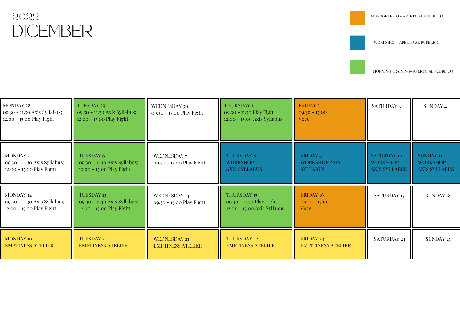## DICEMBER 2022

WORKSHOP - APERTO AL PUBBLICO

| MONDAY 28<br>09.30 - 11.30 Axis Syllabus;<br>12.00 - 15.00 Play Fight | <b>TUESDAY 29</b><br>09.30 - 11.30 Axis Syllabus;<br>12.00 - 15.00 Play Fight | WEDNESDAY 30<br>09.30 - 15.00 Play Fight        | THURSDAY <sub>1</sub><br>09.30 - 11.30 Play Fight<br>12.00 - 15.00 Axis Syllabus | FRIDAY 2<br>$09.30 - 15.00$<br>Voce                 | SATURDAY 3                                             | SUNDAY 4                                                    |
|-----------------------------------------------------------------------|-------------------------------------------------------------------------------|-------------------------------------------------|----------------------------------------------------------------------------------|-----------------------------------------------------|--------------------------------------------------------|-------------------------------------------------------------|
| MONDAY 5<br>09.30 - 11.30 Axis Syllabus;<br>12.00 - 15.00 Play Fight  | <b>TUESDAY 6</b><br>09.30 - 11.30 Axis Syllabus;<br>12.00 - 15.00 Play Fight  | WEDNESDAY 7<br>09.30 - 15.00 Play Fight         | <b>THURSDAY 8</b><br><b>WORKSHOP</b><br><b>AXIS SYLLABUS</b>                     | FRIDAY 9<br><b>WORKSHOP AXIS</b><br><b>SYLLABUS</b> | SATURDAY 10<br><b>WORKSHOP</b><br><b>AXIS SYLLABUS</b> | <b>SUNDAY 11</b><br><b>WORKSHOP</b><br><b>AXIS SYLLABUS</b> |
| MONDAY 12<br>09.30 - 11.30 Axis Syllabus;<br>12.00 - 15.00 Play Fight | TUESDAY 13<br>09.30 - 11.30 Axis Syllabus;<br>12.00 - 15.00 Play Fight        | WEDNESDAY 14<br>09.30 - 15.00 Play Fight        | THURSDAY 15<br>09.30 - 11.30 Play Fight<br>12.00 - 15.00 Axis Syllabus           | FRIDAY 16<br>$09.30 - 15.00$<br>Voce                | SATURDAY 17                                            | SUNDAY 18                                                   |
| <b>MONDAY 19</b><br><b>EMPTINESS ATELIER</b>                          | <b>TUESDAY 20</b><br><b>EMPTINESS ATELIER</b>                                 | <b>WEDNESDAY 21</b><br><b>EMPTINESS ATELIER</b> | THURSDAY 22<br><b>EMPTINESS ATELIER</b>                                          | FRIDAY 23<br><b>EMPITINESS ATELIER</b>              | SATURDAY 24                                            | SUNDAY 25                                                   |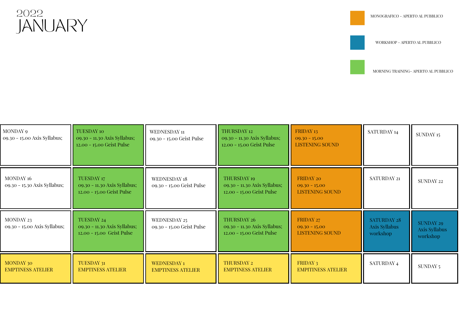

WORKSHOP - APERTO AL PUBBLICO



| MONDAY 9<br>09.30 - 15.00 Axis Syllabus;  | <b>TUESDAY 10</b><br>09.30 - 11.30 Axis Syllabus;<br>12.00 - 15.00 Geist Pulse | WEDNESDAY 11<br>09.30 - 15.00 Geist Pulse        | THURSDAY 12<br>09.30 - 11.30 Axis Syllabus;<br>12.00 - 15.00 Geist Pulse | FRIDAY 13<br>$09.30 - 15.00$<br><b>LISTENING SOUND</b> | SATURDAY 14                                     | SUNDAY 15                                     |
|-------------------------------------------|--------------------------------------------------------------------------------|--------------------------------------------------|--------------------------------------------------------------------------|--------------------------------------------------------|-------------------------------------------------|-----------------------------------------------|
| MONDAY 16<br>09.30 - 15.30 Axis Syllabus; | TUESDAY 17<br>09.30 - 11.30 Axis Syllabus;<br>12.00 - 15.00 Geist Pulse        | <b>WEDNESDAY 18</b><br>09.30 - 15.00 Geist Pulse | THURSDAY 19<br>09.30 - 11.30 Axis Syllabus;<br>12.00 - 15.00 Geist Pulse | FRIDAY 20<br>$09.30 - 15.00$<br><b>LISTENING SOUND</b> | SATURDAY 21                                     | SUNDAY 22                                     |
| MONDAY 23<br>09.30 - 15.00 Axis Syllabus; | TUESDAY 24<br>09.30 - 11.30 Axis Syllabus;<br>12.00 - 15.00 Geist Pulse        | WEDNESDAY 25<br>09.30 - 15.00 Geist Pulse        | THURSDAY 26<br>09.30 - 11.30 Axis Syllabus;<br>12.00 - 15.00 Geist Pulse | FRIDAY 27<br>$09.30 - 15.00$<br><b>LISTENING SOUND</b> | <b>SATURDAY 28</b><br>Axis Syllabus<br>workshop | <b>SUNDAY 29</b><br>Axis Syllabus<br>workshop |
| MONDAY 30<br><b>EMPTINESS ATELIER</b>     | TUESDAY 31<br><b>EMPTINESS ATELIER</b>                                         | <b>WEDNESDAY 1</b><br><b>EMPTINESS ATELIER</b>   | THURSDAY 2<br><b>EMPTINESS ATELIER</b>                                   | FRIDAY 3<br><b>EMPITINESS ATELIER</b>                  | SATURDAY 4                                      | SUNDAY 5                                      |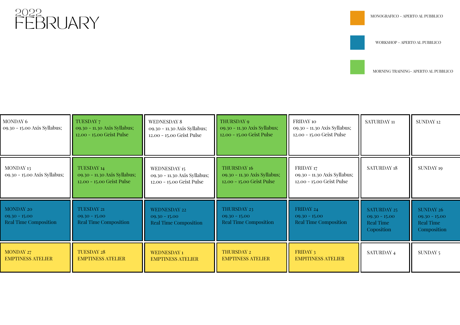

WORKSHOP - APERTO AL PUBBLICO



| MONDAY 6<br>09.30 - 15.00 Axis Syllabus;                            | TUESDAY 7<br>09.30 - 11.30 Axis Syllabus;<br>12.00 - 15.00 Geist Pulse  | <b>WEDNESDAY 8</b><br>09.30 - 11.30 Axis Syllabus;<br>12.00 - 15.00 Geist Pulse | THURSDAY 9<br>09.30 - 11.30 Axis Syllabus;<br>12.00 - 15.00 Geist Pulse         | FRIDAY 10<br>09.30 - 11.30 Axis Syllabus;<br>12.00 - 15.00 Geist Pulse | SATURDAY 11                                                      | <b>SUNDAY 12</b>                                                |
|---------------------------------------------------------------------|-------------------------------------------------------------------------|---------------------------------------------------------------------------------|---------------------------------------------------------------------------------|------------------------------------------------------------------------|------------------------------------------------------------------|-----------------------------------------------------------------|
| MONDAY 13<br>09.30 - 15.00 Axis Syllabus;                           | TUESDAY 14<br>09.30 - 11.30 Axis Syllabus;<br>12.00 - 15.00 Geist Pulse | WEDNESDAY 15<br>09.30 - 11.30 Axis Syllabus;<br>12.00 - 15.00 Geist Pulse       | <b>THURSDAY 16</b><br>09.30 - 11.30 Axis Syllabus;<br>12.00 - 15.00 Geist Pulse | FRIDAY 17<br>09.30 - 11.30 Axis Syllabus;<br>12.00 - 15.00 Geist Pulse | <b>SATURDAY 18</b>                                               | <b>SUNDAY 19</b>                                                |
| <b>MONDAY 20</b><br>$09.30 - 15.00$<br><b>Real Time Composition</b> | TUESDAY 21<br>$09.30 - 15.00$<br><b>Real Time Composition</b>           | <b>WEDNESDAY 22</b><br>$09.30 - 15.00$<br><b>Real Time Composition</b>          | THURSDAY 23<br>$09.30 - 15.00$<br><b>Real Time Composition</b>                  | FRIDAY 24<br>$09.30 - 15.00$<br><b>Real Time Composition</b>           | <b>SATURDAY 25</b><br>$09.30 - 15.00$<br>Real Time<br>Coposition | <b>SUNDAY 26</b><br>$09.30 - 15.00$<br>Real Time<br>Composition |
| MONDAY 27<br><b>EMPTINESS ATELIER</b>                               | <b>TUESDAY 28</b><br><b>EMPTINESS ATELIER</b>                           | <b>WEDNESDAY 1</b><br><b>EMPTINESS ATELIER</b>                                  | THURSDAY 2<br><b>EMPTINESS ATELIER</b>                                          | FRIDAY 3<br><b>EMPITINESS ATELIER</b>                                  | SATURDAY 4                                                       | SUNDAY 5                                                        |